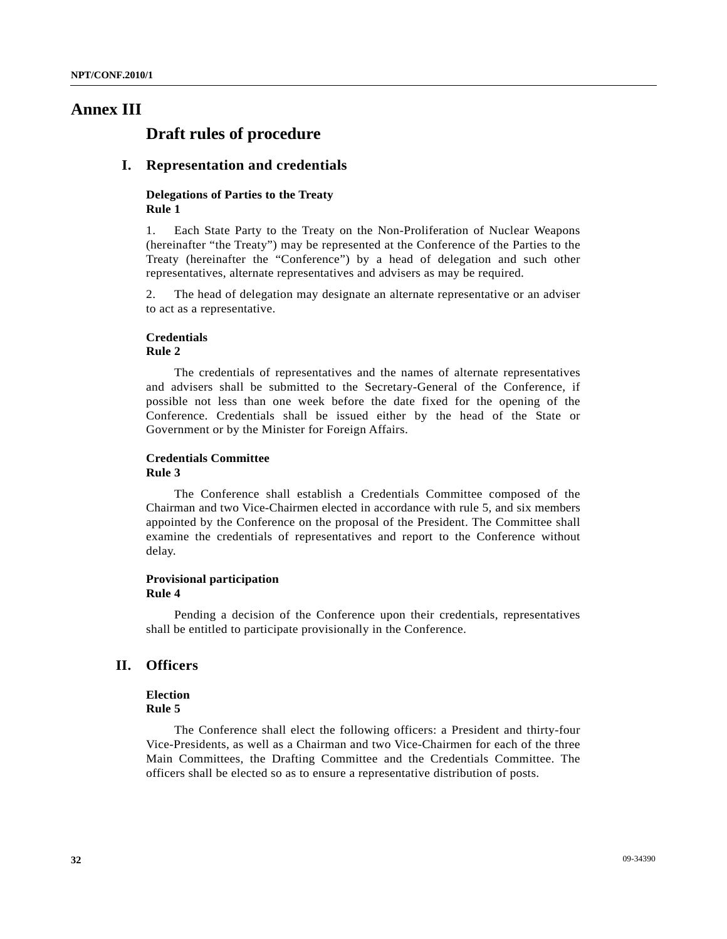# **Annex III**

# **Draft rules of procedure**

## **I. Representation and credentials**

#### **Delegations of Parties to the Treaty Rule 1**

1. Each State Party to the Treaty on the Non-Proliferation of Nuclear Weapons (hereinafter "the Treaty") may be represented at the Conference of the Parties to the Treaty (hereinafter the "Conference") by a head of delegation and such other representatives, alternate representatives and advisers as may be required.

2. The head of delegation may designate an alternate representative or an adviser to act as a representative.

#### **Credentials Rule 2**

 The credentials of representatives and the names of alternate representatives and advisers shall be submitted to the Secretary-General of the Conference, if possible not less than one week before the date fixed for the opening of the Conference. Credentials shall be issued either by the head of the State or Government or by the Minister for Foreign Affairs.

#### **Credentials Committee Rule 3**

 The Conference shall establish a Credentials Committee composed of the Chairman and two Vice-Chairmen elected in accordance with rule 5, and six members appointed by the Conference on the proposal of the President. The Committee shall examine the credentials of representatives and report to the Conference without delay.

#### **Provisional participation Rule 4**

 Pending a decision of the Conference upon their credentials, representatives shall be entitled to participate provisionally in the Conference.

# **II. Officers**

# **Election**

# **Rule 5**

 The Conference shall elect the following officers: a President and thirty-four Vice-Presidents, as well as a Chairman and two Vice-Chairmen for each of the three Main Committees, the Drafting Committee and the Credentials Committee. The officers shall be elected so as to ensure a representative distribution of posts.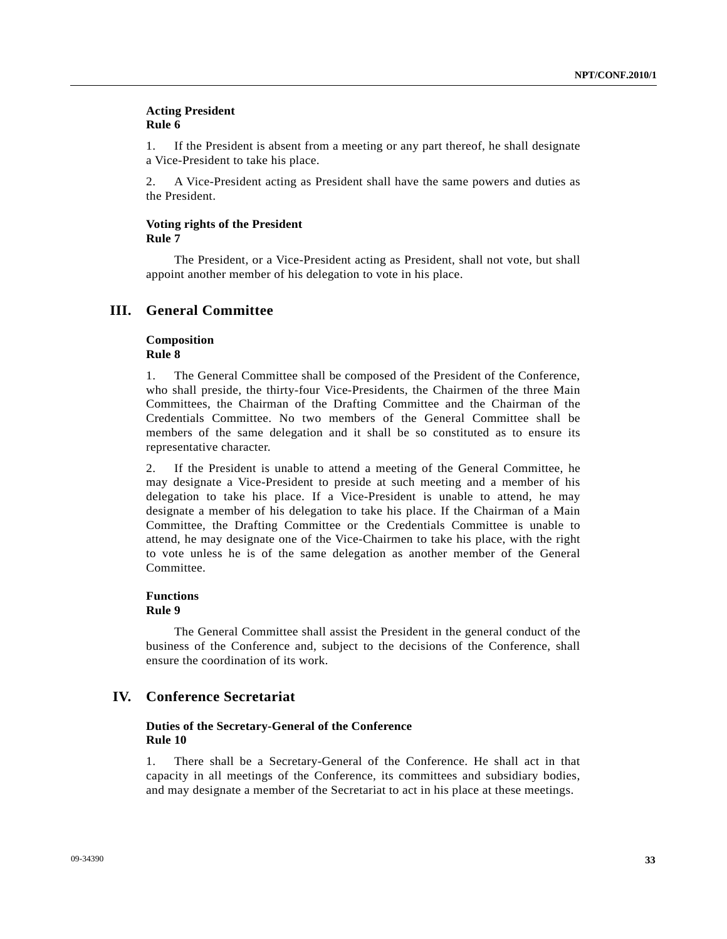#### **Acting President Rule 6**

1. If the President is absent from a meeting or any part thereof, he shall designate a Vice-President to take his place.

2. A Vice-President acting as President shall have the same powers and duties as the President.

### **Voting rights of the President Rule 7**

 The President, or a Vice-President acting as President, shall not vote, but shall appoint another member of his delegation to vote in his place.

## **III. General Committee**

#### **Composition Rule 8**

1. The General Committee shall be composed of the President of the Conference, who shall preside, the thirty-four Vice-Presidents, the Chairmen of the three Main Committees, the Chairman of the Drafting Committee and the Chairman of the Credentials Committee. No two members of the General Committee shall be members of the same delegation and it shall be so constituted as to ensure its representative character.

2. If the President is unable to attend a meeting of the General Committee, he may designate a Vice-President to preside at such meeting and a member of his delegation to take his place. If a Vice-President is unable to attend, he may designate a member of his delegation to take his place. If the Chairman of a Main Committee, the Drafting Committee or the Credentials Committee is unable to attend, he may designate one of the Vice-Chairmen to take his place, with the right to vote unless he is of the same delegation as another member of the General Committee.

#### **Functions Rule 9**

 The General Committee shall assist the President in the general conduct of the business of the Conference and, subject to the decisions of the Conference, shall ensure the coordination of its work.

# **IV. Conference Secretariat**

#### **Duties of the Secretary-General of the Conference Rule 10**

1. There shall be a Secretary-General of the Conference. He shall act in that capacity in all meetings of the Conference, its committees and subsidiary bodies, and may designate a member of the Secretariat to act in his place at these meetings.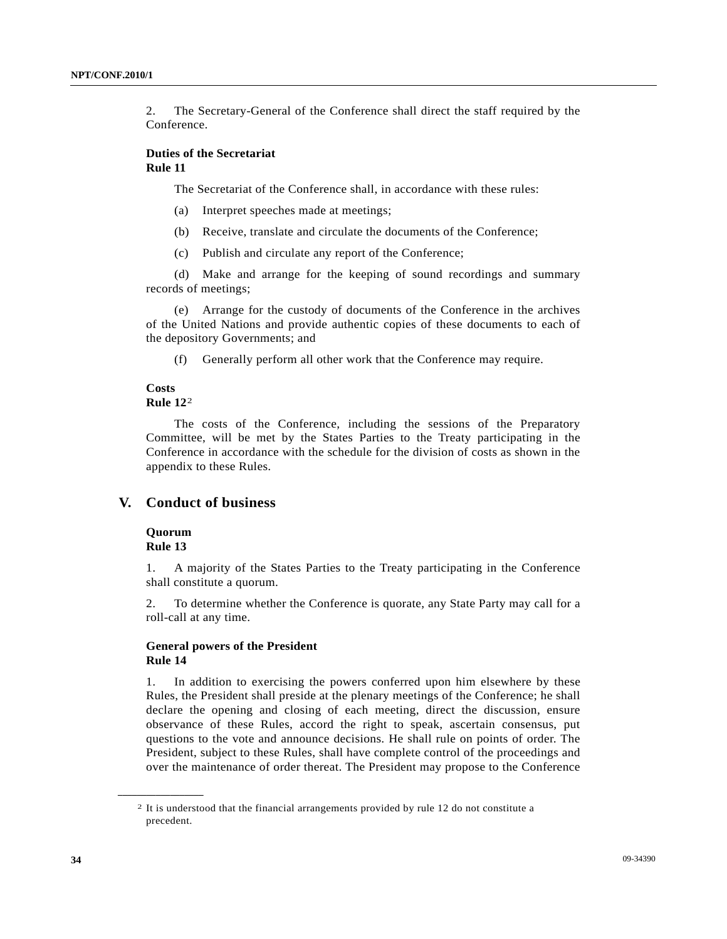2. The Secretary-General of the Conference shall direct the staff required by the Conference.

#### **Duties of the Secretariat Rule 11**

The Secretariat of the Conference shall, in accordance with these rules:

- (a) Interpret speeches made at meetings;
- (b) Receive, translate and circulate the documents of the Conference;
- (c) Publish and circulate any report of the Conference;

 (d) Make and arrange for the keeping of sound recordings and summary records of meetings;

 (e) Arrange for the custody of documents of the Conference in the archives of the United Nations and provide authentic copies of these documents to each of the depository Governments; and

(f) Generally perform all other work that the Conference may require.

#### **Costs Rule 12**[2](#page-2-0)

 The costs of the Conference, including the sessions of the Preparatory Committee, will be met by the States Parties to the Treaty participating in the Conference in accordance with the schedule for the division of costs as shown in the appendix to these Rules.

# **V. Conduct of business**

 **Quorum Rule 13** 

<span id="page-2-0"></span>**\_\_\_\_\_\_\_\_\_\_\_\_\_\_\_\_\_\_** 

1. A majority of the States Parties to the Treaty participating in the Conference shall constitute a quorum.

2. To determine whether the Conference is quorate, any State Party may call for a roll-call at any time.

### **General powers of the President Rule 14**

1. In addition to exercising the powers conferred upon him elsewhere by these Rules, the President shall preside at the plenary meetings of the Conference; he shall declare the opening and closing of each meeting, direct the discussion, ensure observance of these Rules, accord the right to speak, ascertain consensus, put questions to the vote and announce decisions. He shall rule on points of order. The President, subject to these Rules, shall have complete control of the proceedings and over the maintenance of order thereat. The President may propose to the Conference

<sup>2</sup> It is understood that the financial arrangements provided by rule 12 do not constitute a precedent.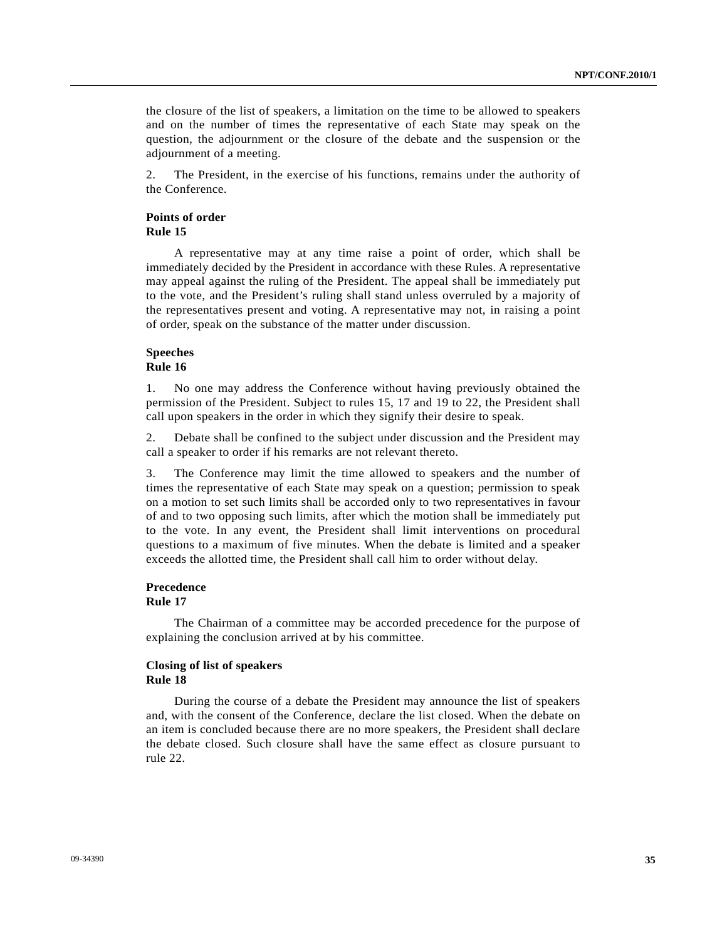the closure of the list of speakers, a limitation on the time to be allowed to speakers and on the number of times the representative of each State may speak on the question, the adjournment or the closure of the debate and the suspension or the adjournment of a meeting.

2. The President, in the exercise of his functions, remains under the authority of the Conference.

#### **Points of order Rule 15**

 A representative may at any time raise a point of order, which shall be immediately decided by the President in accordance with these Rules. A representative may appeal against the ruling of the President. The appeal shall be immediately put to the vote, and the President's ruling shall stand unless overruled by a majority of the representatives present and voting. A representative may not, in raising a point of order, speak on the substance of the matter under discussion.

#### **Speeches Rule 16**

1. No one may address the Conference without having previously obtained the permission of the President. Subject to rules 15, 17 and 19 to 22, the President shall call upon speakers in the order in which they signify their desire to speak.

2. Debate shall be confined to the subject under discussion and the President may call a speaker to order if his remarks are not relevant thereto.

3. The Conference may limit the time allowed to speakers and the number of times the representative of each State may speak on a question; permission to speak on a motion to set such limits shall be accorded only to two representatives in favour of and to two opposing such limits, after which the motion shall be immediately put to the vote. In any event, the President shall limit interventions on procedural questions to a maximum of five minutes. When the debate is limited and a speaker exceeds the allotted time, the President shall call him to order without delay.

#### **Precedence Rule 17**

 The Chairman of a committee may be accorded precedence for the purpose of explaining the conclusion arrived at by his committee.

#### **Closing of list of speakers Rule 18**

 During the course of a debate the President may announce the list of speakers and, with the consent of the Conference, declare the list closed. When the debate on an item is concluded because there are no more speakers, the President shall declare the debate closed. Such closure shall have the same effect as closure pursuant to rule 22.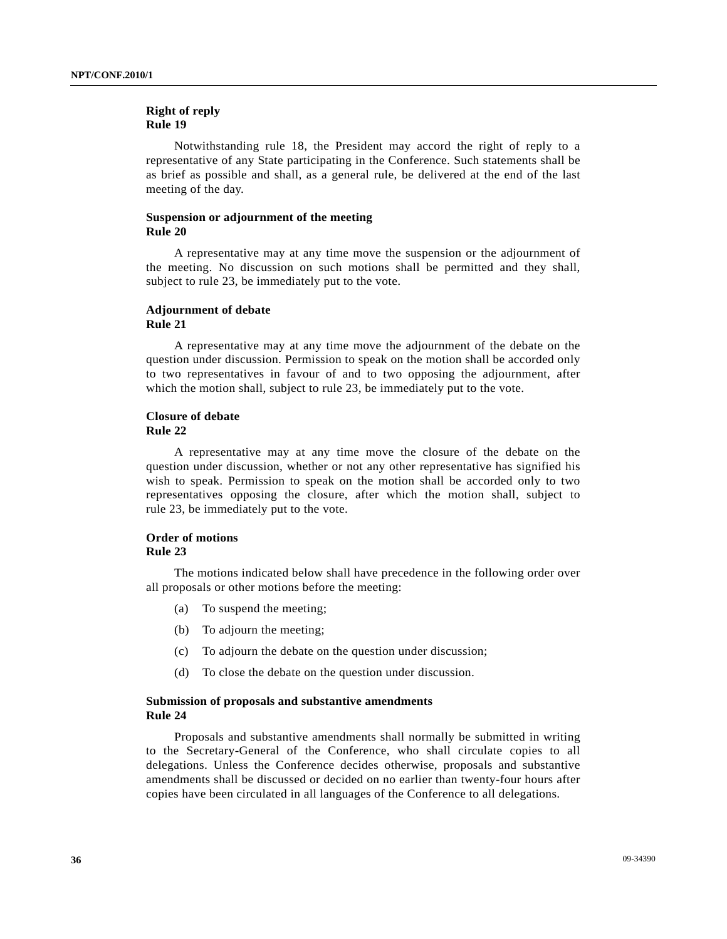### **Right of reply Rule 19**

 Notwithstanding rule 18, the President may accord the right of reply to a representative of any State participating in the Conference. Such statements shall be as brief as possible and shall, as a general rule, be delivered at the end of the last meeting of the day.

#### **Suspension or adjournment of the meeting Rule 20**

 A representative may at any time move the suspension or the adjournment of the meeting. No discussion on such motions shall be permitted and they shall, subject to rule 23, be immediately put to the vote.

#### **Adjournment of debate Rule 21**

 A representative may at any time move the adjournment of the debate on the question under discussion. Permission to speak on the motion shall be accorded only to two representatives in favour of and to two opposing the adjournment, after which the motion shall, subject to rule 23, be immediately put to the vote.

#### **Closure of debate Rule 22**

 A representative may at any time move the closure of the debate on the question under discussion, whether or not any other representative has signified his wish to speak. Permission to speak on the motion shall be accorded only to two representatives opposing the closure, after which the motion shall, subject to rule 23, be immediately put to the vote.

#### **Order of motions Rule 23**

 The motions indicated below shall have precedence in the following order over all proposals or other motions before the meeting:

- (a) To suspend the meeting;
- (b) To adjourn the meeting;
- (c) To adjourn the debate on the question under discussion;
- (d) To close the debate on the question under discussion.

#### **Submission of proposals and substantive amendments Rule 24**

 Proposals and substantive amendments shall normally be submitted in writing to the Secretary-General of the Conference, who shall circulate copies to all delegations. Unless the Conference decides otherwise, proposals and substantive amendments shall be discussed or decided on no earlier than twenty-four hours after copies have been circulated in all languages of the Conference to all delegations.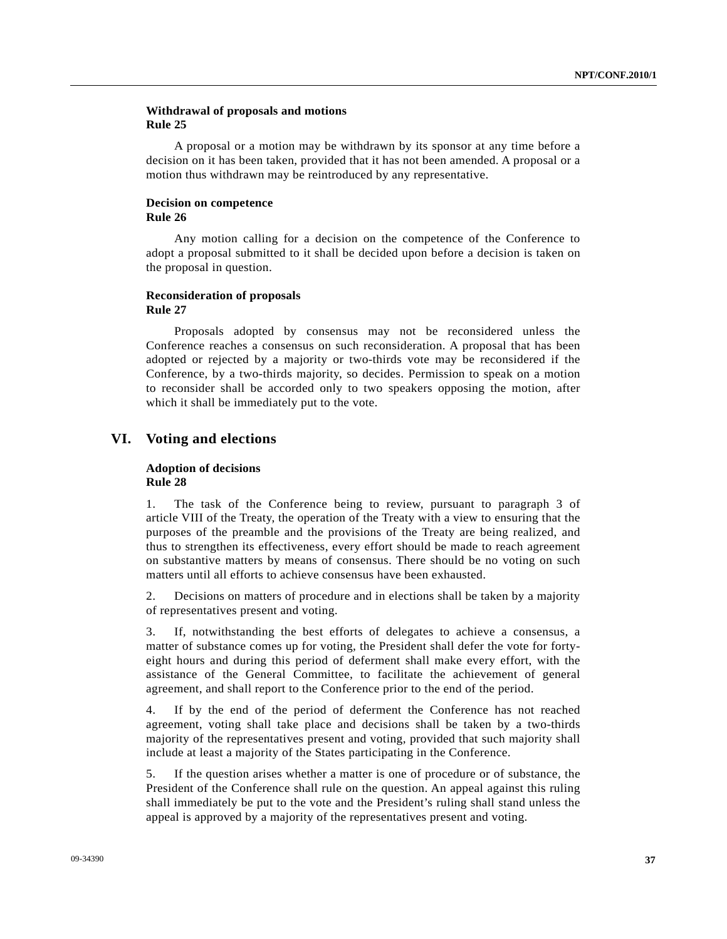### **Withdrawal of proposals and motions Rule 25**

 A proposal or a motion may be withdrawn by its sponsor at any time before a decision on it has been taken, provided that it has not been amended. A proposal or a motion thus withdrawn may be reintroduced by any representative.

#### **Decision on competence Rule 26**

 Any motion calling for a decision on the competence of the Conference to adopt a proposal submitted to it shall be decided upon before a decision is taken on the proposal in question.

#### **Reconsideration of proposals Rule 27**

 Proposals adopted by consensus may not be reconsidered unless the Conference reaches a consensus on such reconsideration. A proposal that has been adopted or rejected by a majority or two-thirds vote may be reconsidered if the Conference, by a two-thirds majority, so decides. Permission to speak on a motion to reconsider shall be accorded only to two speakers opposing the motion, after which it shall be immediately put to the vote.

# **VI. Voting and elections**

#### **Adoption of decisions Rule 28**

1. The task of the Conference being to review, pursuant to paragraph 3 of article VIII of the Treaty, the operation of the Treaty with a view to ensuring that the purposes of the preamble and the provisions of the Treaty are being realized, and thus to strengthen its effectiveness, every effort should be made to reach agreement on substantive matters by means of consensus. There should be no voting on such matters until all efforts to achieve consensus have been exhausted.

2. Decisions on matters of procedure and in elections shall be taken by a majority of representatives present and voting.

3. If, notwithstanding the best efforts of delegates to achieve a consensus, a matter of substance comes up for voting, the President shall defer the vote for fortyeight hours and during this period of deferment shall make every effort, with the assistance of the General Committee, to facilitate the achievement of general agreement, and shall report to the Conference prior to the end of the period.

4. If by the end of the period of deferment the Conference has not reached agreement, voting shall take place and decisions shall be taken by a two-thirds majority of the representatives present and voting, provided that such majority shall include at least a majority of the States participating in the Conference.

5. If the question arises whether a matter is one of procedure or of substance, the President of the Conference shall rule on the question. An appeal against this ruling shall immediately be put to the vote and the President's ruling shall stand unless the appeal is approved by a majority of the representatives present and voting.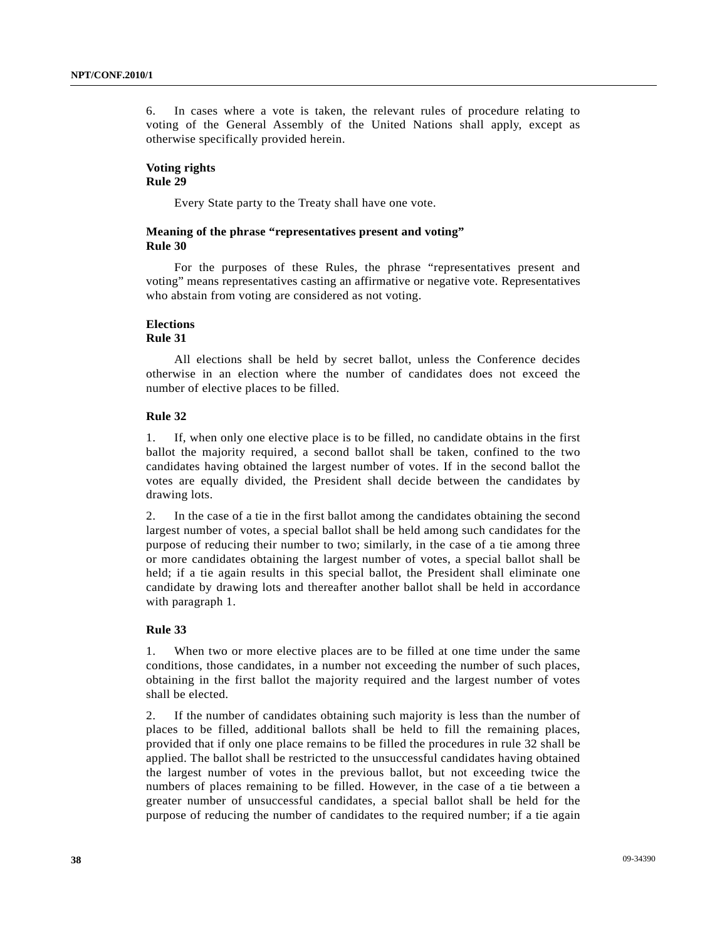6. In cases where a vote is taken, the relevant rules of procedure relating to voting of the General Assembly of the United Nations shall apply, except as otherwise specifically provided herein.

#### **Voting rights Rule 29**

Every State party to the Treaty shall have one vote.

#### **Meaning of the phrase "representatives present and voting" Rule 30**

 For the purposes of these Rules, the phrase "representatives present and voting" means representatives casting an affirmative or negative vote. Representatives who abstain from voting are considered as not voting.

#### **Elections**

# **Rule 31**

 All elections shall be held by secret ballot, unless the Conference decides otherwise in an election where the number of candidates does not exceed the number of elective places to be filled.

#### **Rule 32**

1. If, when only one elective place is to be filled, no candidate obtains in the first ballot the majority required, a second ballot shall be taken, confined to the two candidates having obtained the largest number of votes. If in the second ballot the votes are equally divided, the President shall decide between the candidates by drawing lots.

2. In the case of a tie in the first ballot among the candidates obtaining the second largest number of votes, a special ballot shall be held among such candidates for the purpose of reducing their number to two; similarly, in the case of a tie among three or more candidates obtaining the largest number of votes, a special ballot shall be held; if a tie again results in this special ballot, the President shall eliminate one candidate by drawing lots and thereafter another ballot shall be held in accordance with paragraph 1.

#### **Rule 33**

1. When two or more elective places are to be filled at one time under the same conditions, those candidates, in a number not exceeding the number of such places, obtaining in the first ballot the majority required and the largest number of votes shall be elected.

2. If the number of candidates obtaining such majority is less than the number of places to be filled, additional ballots shall be held to fill the remaining places, provided that if only one place remains to be filled the procedures in rule 32 shall be applied. The ballot shall be restricted to the unsuccessful candidates having obtained the largest number of votes in the previous ballot, but not exceeding twice the numbers of places remaining to be filled. However, in the case of a tie between a greater number of unsuccessful candidates, a special ballot shall be held for the purpose of reducing the number of candidates to the required number; if a tie again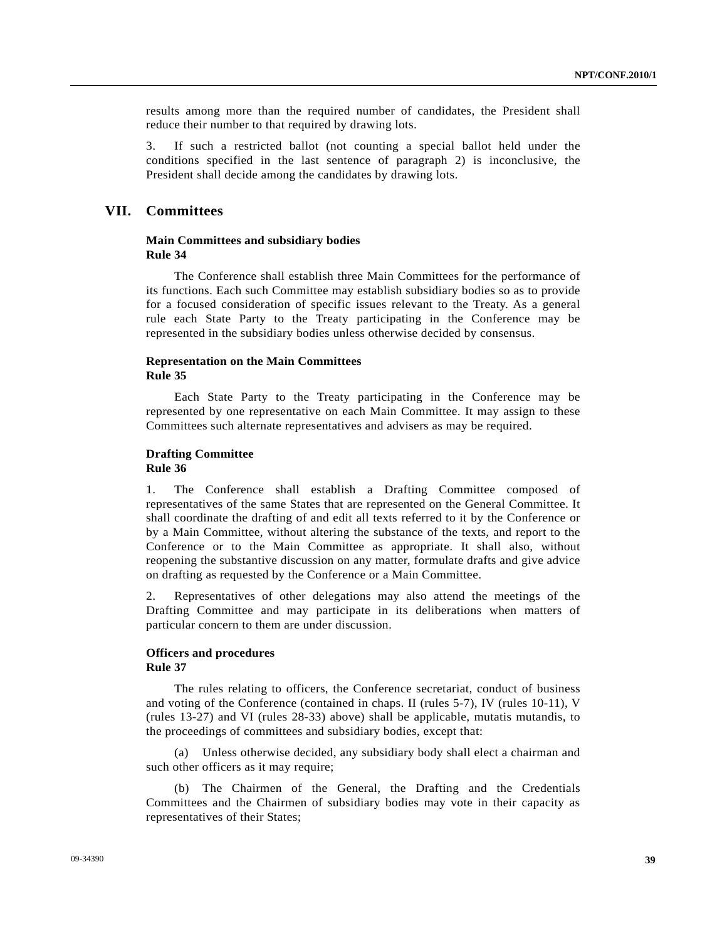results among more than the required number of candidates, the President shall reduce their number to that required by drawing lots.

3. If such a restricted ballot (not counting a special ballot held under the conditions specified in the last sentence of paragraph 2) is inconclusive, the President shall decide among the candidates by drawing lots.

# **VII. Committees**

#### **Main Committees and subsidiary bodies Rule 34**

 The Conference shall establish three Main Committees for the performance of its functions. Each such Committee may establish subsidiary bodies so as to provide for a focused consideration of specific issues relevant to the Treaty. As a general rule each State Party to the Treaty participating in the Conference may be represented in the subsidiary bodies unless otherwise decided by consensus.

#### **Representation on the Main Committees Rule 35**

 Each State Party to the Treaty participating in the Conference may be represented by one representative on each Main Committee. It may assign to these Committees such alternate representatives and advisers as may be required.

#### **Drafting Committee Rule 36**

1. The Conference shall establish a Drafting Committee composed of representatives of the same States that are represented on the General Committee. It shall coordinate the drafting of and edit all texts referred to it by the Conference or by a Main Committee, without altering the substance of the texts, and report to the Conference or to the Main Committee as appropriate. It shall also, without reopening the substantive discussion on any matter, formulate drafts and give advice on drafting as requested by the Conference or a Main Committee.

2. Representatives of other delegations may also attend the meetings of the Drafting Committee and may participate in its deliberations when matters of particular concern to them are under discussion.

#### **Officers and procedures Rule 37**

 The rules relating to officers, the Conference secretariat, conduct of business and voting of the Conference (contained in chaps. II (rules 5-7), IV (rules 10-11), V (rules 13-27) and VI (rules 28-33) above) shall be applicable, mutatis mutandis, to the proceedings of committees and subsidiary bodies, except that:

 (a) Unless otherwise decided, any subsidiary body shall elect a chairman and such other officers as it may require;

 (b) The Chairmen of the General, the Drafting and the Credentials Committees and the Chairmen of subsidiary bodies may vote in their capacity as representatives of their States;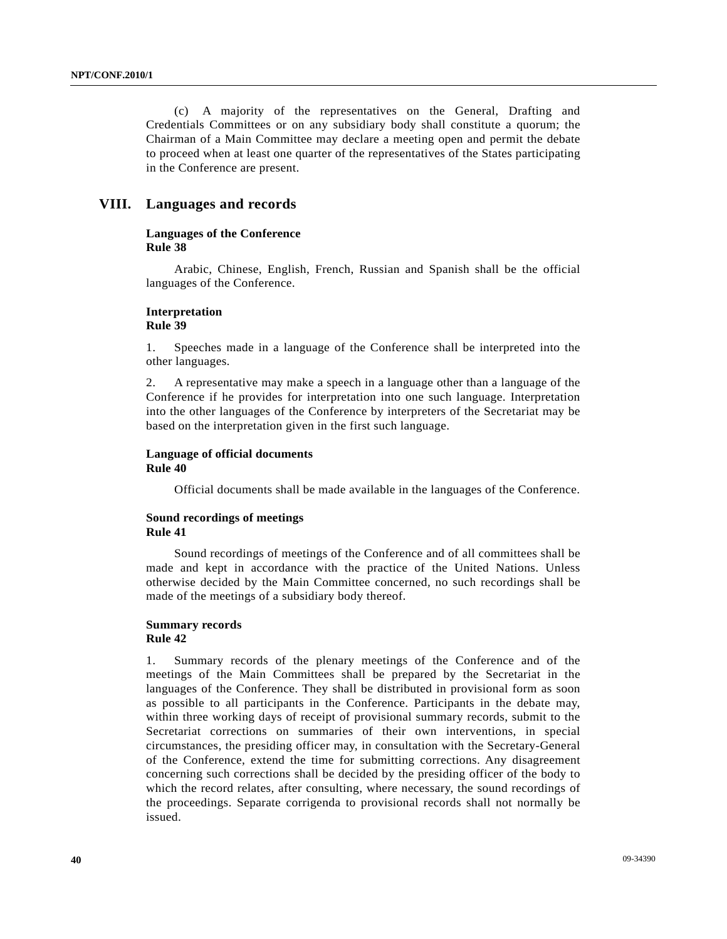(c) A majority of the representatives on the General, Drafting and Credentials Committees or on any subsidiary body shall constitute a quorum; the Chairman of a Main Committee may declare a meeting open and permit the debate to proceed when at least one quarter of the representatives of the States participating in the Conference are present.

## **VIII. Languages and records**

#### **Languages of the Conference Rule 38**

 Arabic, Chinese, English, French, Russian and Spanish shall be the official languages of the Conference.

#### **Interpretation Rule 39**

1. Speeches made in a language of the Conference shall be interpreted into the other languages.

2. A representative may make a speech in a language other than a language of the Conference if he provides for interpretation into one such language. Interpretation into the other languages of the Conference by interpreters of the Secretariat may be based on the interpretation given in the first such language.

#### **Language of official documents Rule 40**

Official documents shall be made available in the languages of the Conference.

#### **Sound recordings of meetings Rule 41**

 Sound recordings of meetings of the Conference and of all committees shall be made and kept in accordance with the practice of the United Nations. Unless otherwise decided by the Main Committee concerned, no such recordings shall be made of the meetings of a subsidiary body thereof.

#### **Summary records Rule 42**

1. Summary records of the plenary meetings of the Conference and of the meetings of the Main Committees shall be prepared by the Secretariat in the languages of the Conference. They shall be distributed in provisional form as soon as possible to all participants in the Conference. Participants in the debate may, within three working days of receipt of provisional summary records, submit to the Secretariat corrections on summaries of their own interventions, in special circumstances, the presiding officer may, in consultation with the Secretary-General of the Conference, extend the time for submitting corrections. Any disagreement concerning such corrections shall be decided by the presiding officer of the body to which the record relates, after consulting, where necessary, the sound recordings of the proceedings. Separate corrigenda to provisional records shall not normally be issued.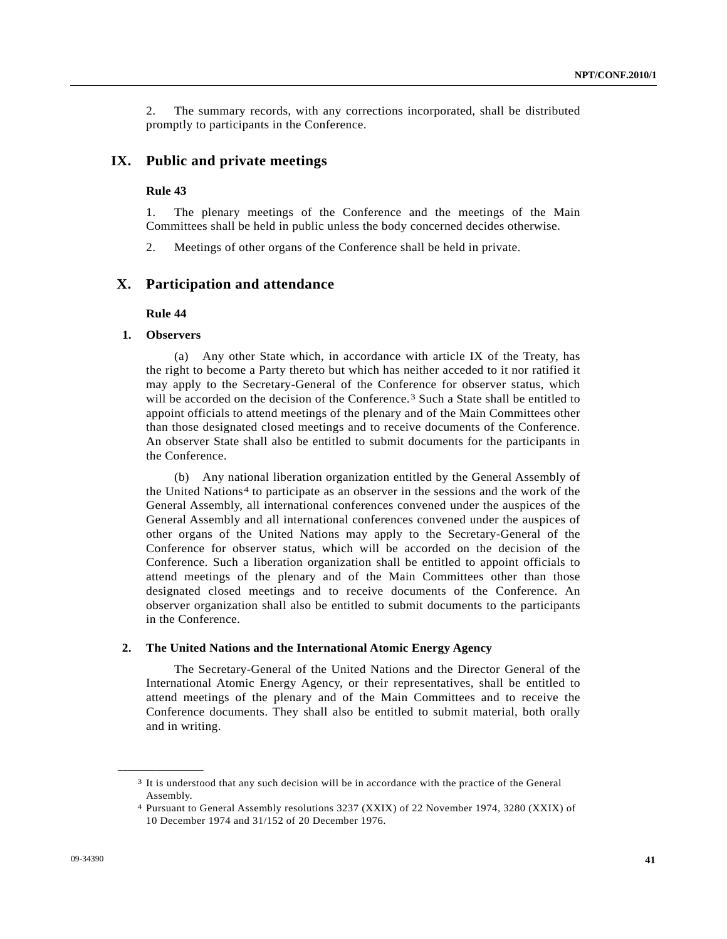2. The summary records, with any corrections incorporated, shall be distributed promptly to participants in the Conference.

## **IX. Public and private meetings**

#### **Rule 43**

1. The plenary meetings of the Conference and the meetings of the Main Committees shall be held in public unless the body concerned decides otherwise.

2. Meetings of other organs of the Conference shall be held in private.

#### **X. Participation and attendance**

#### **Rule 44**

#### **1. Observers**

<span id="page-9-1"></span><span id="page-9-0"></span>**\_\_\_\_\_\_\_\_\_\_\_\_\_\_\_\_\_\_** 

 (a) Any other State which, in accordance with article IX of the Treaty, has the right to become a Party thereto but which has neither acceded to it nor ratified it may apply to the Secretary-General of the Conference for observer status, which will be accorded on the decision of the Conference.<sup>[3](#page-9-0)</sup> Such a State shall be entitled to appoint officials to attend meetings of the plenary and of the Main Committees other than those designated closed meetings and to receive documents of the Conference. An observer State shall also be entitled to submit documents for the participants in the Conference.

 (b) Any national liberation organization entitled by the General Assembly of the United Nations[4](#page-9-1) to participate as an observer in the sessions and the work of the General Assembly, all international conferences convened under the auspices of the General Assembly and all international conferences convened under the auspices of other organs of the United Nations may apply to the Secretary-General of the Conference for observer status, which will be accorded on the decision of the Conference. Such a liberation organization shall be entitled to appoint officials to attend meetings of the plenary and of the Main Committees other than those designated closed meetings and to receive documents of the Conference. An observer organization shall also be entitled to submit documents to the participants in the Conference.

#### **2. The United Nations and the International Atomic Energy Agency**

 The Secretary-General of the United Nations and the Director General of the International Atomic Energy Agency, or their representatives, shall be entitled to attend meetings of the plenary and of the Main Committees and to receive the Conference documents. They shall also be entitled to submit material, both orally and in writing.

<sup>3</sup> It is understood that any such decision will be in accordance with the practice of the General Assembly.

<sup>4</sup> Pursuant to General Assembly resolutions 3237 (XXIX) of 22 November 1974, 3280 (XXIX) of 10 December 1974 and 31/152 of 20 December 1976.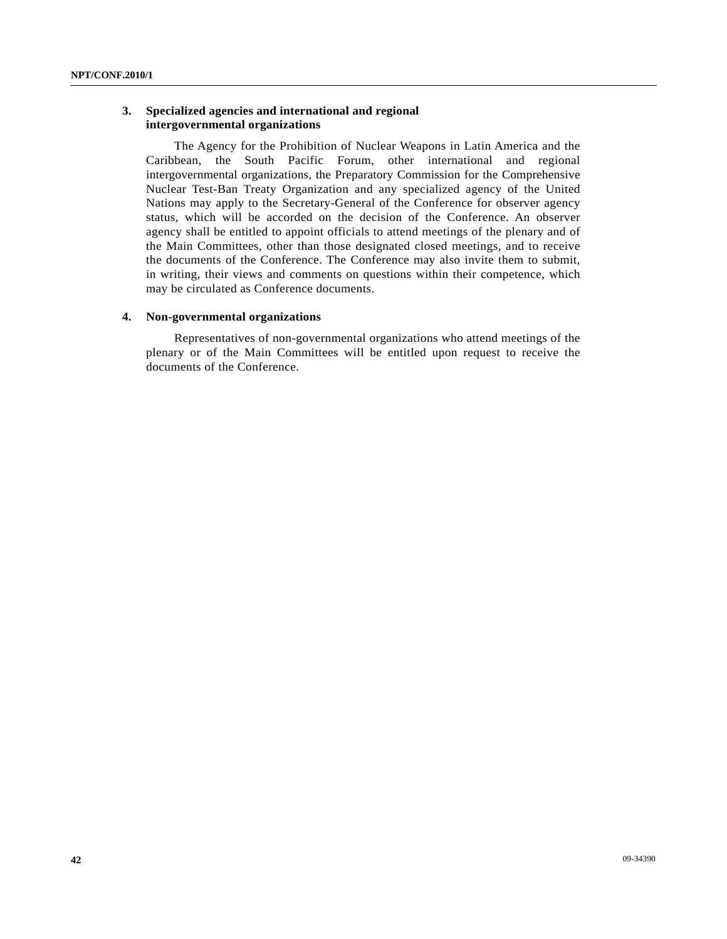## **3. Specialized agencies and international and regional intergovernmental organizations**

 The Agency for the Prohibition of Nuclear Weapons in Latin America and the Caribbean, the South Pacific Forum, other international and regional intergovernmental organizations, the Preparatory Commission for the Comprehensive Nuclear Test-Ban Treaty Organization and any specialized agency of the United Nations may apply to the Secretary-General of the Conference for observer agency status, which will be accorded on the decision of the Conference. An observer agency shall be entitled to appoint officials to attend meetings of the plenary and of the Main Committees, other than those designated closed meetings, and to receive the documents of the Conference. The Conference may also invite them to submit, in writing, their views and comments on questions within their competence, which may be circulated as Conference documents.

#### **4. Non-governmental organizations**

 Representatives of non-governmental organizations who attend meetings of the plenary or of the Main Committees will be entitled upon request to receive the documents of the Conference.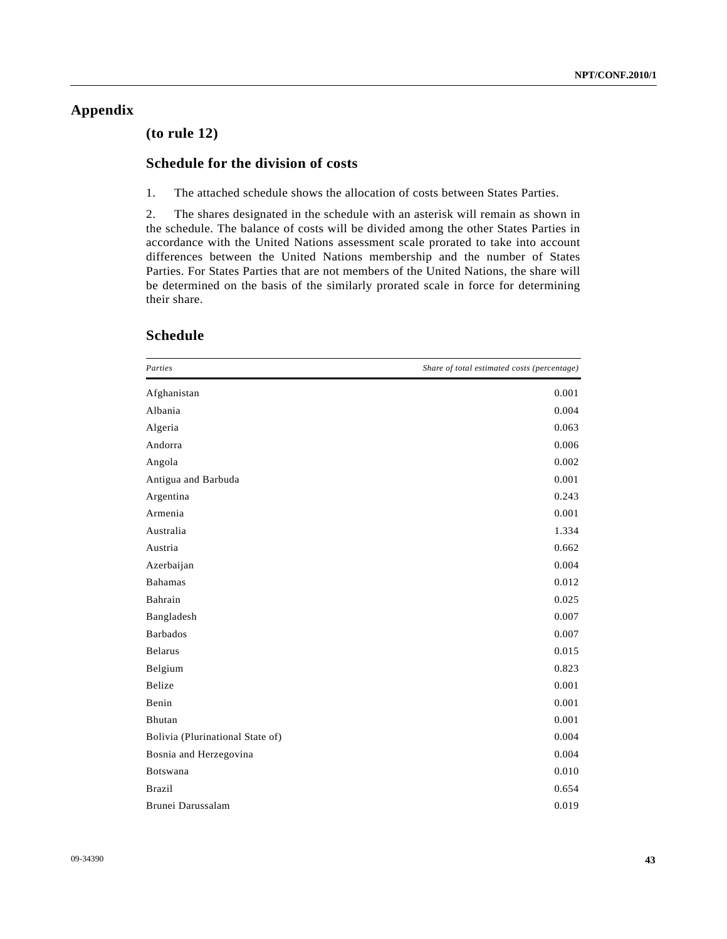# **Appendix**

# **(to rule 12)**

# **Schedule for the division of costs**

1. The attached schedule shows the allocation of costs between States Parties.

2. The shares designated in the schedule with an asterisk will remain as shown in the schedule. The balance of costs will be divided among the other States Parties in accordance with the United Nations assessment scale prorated to take into account differences between the United Nations membership and the number of States Parties. For States Parties that are not members of the United Nations, the share will be determined on the basis of the similarly prorated scale in force for determining their share.

| Parties                          | Share of total estimated costs (percentage) |
|----------------------------------|---------------------------------------------|
| Afghanistan                      | 0.001                                       |
| Albania                          | 0.004                                       |
| Algeria                          | 0.063                                       |
| Andorra                          | 0.006                                       |
| Angola                           | 0.002                                       |
| Antigua and Barbuda              | 0.001                                       |
| Argentina                        | 0.243                                       |
| Armenia                          | 0.001                                       |
| Australia                        | 1.334                                       |
| Austria                          | 0.662                                       |
| Azerbaijan                       | 0.004                                       |
| <b>Bahamas</b>                   | 0.012                                       |
| Bahrain                          | 0.025                                       |
| Bangladesh                       | 0.007                                       |
| <b>Barbados</b>                  | 0.007                                       |
| Belarus                          | 0.015                                       |
| Belgium                          | 0.823                                       |
| Belize                           | 0.001                                       |
| Benin                            | 0.001                                       |
| Bhutan                           | 0.001                                       |
| Bolivia (Plurinational State of) | 0.004                                       |
| Bosnia and Herzegovina           | 0.004                                       |
| Botswana                         | 0.010                                       |
| Brazil                           | 0.654                                       |
| Brunei Darussalam                | 0.019                                       |

# **Schedule**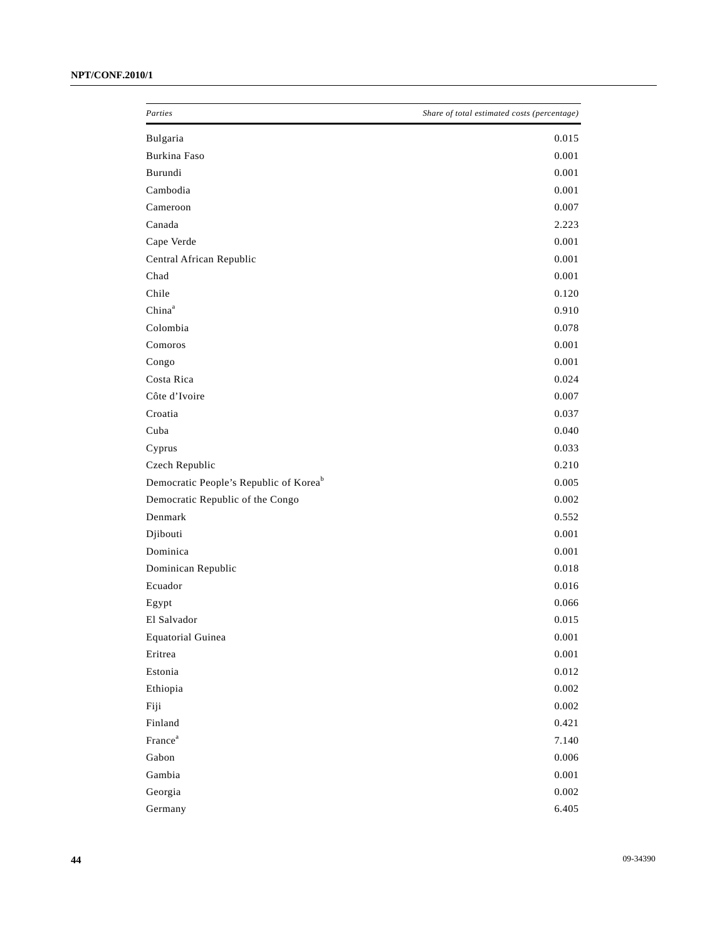| Parties                                            | Share of total estimated costs (percentage) |
|----------------------------------------------------|---------------------------------------------|
| Bulgaria                                           | 0.015                                       |
| Burkina Faso                                       | 0.001                                       |
| Burundi                                            | 0.001                                       |
| Cambodia                                           | 0.001                                       |
| Cameroon                                           | 0.007                                       |
| Canada                                             | 2.223                                       |
| Cape Verde                                         | 0.001                                       |
| Central African Republic                           | 0.001                                       |
| Chad                                               | 0.001                                       |
| Chile                                              | 0.120                                       |
| China <sup>a</sup>                                 | 0.910                                       |
| Colombia                                           | 0.078                                       |
| Comoros                                            | 0.001                                       |
| Congo                                              | 0.001                                       |
| Costa Rica                                         | 0.024                                       |
| Côte d'Ivoire                                      | 0.007                                       |
| Croatia                                            | 0.037                                       |
| Cuba                                               | 0.040                                       |
| Cyprus                                             | 0.033                                       |
| Czech Republic                                     | 0.210                                       |
| Democratic People's Republic of Korea <sup>b</sup> | 0.005                                       |
| Democratic Republic of the Congo                   | 0.002                                       |
| Denmark                                            | 0.552                                       |
| Djibouti                                           | 0.001                                       |
| Dominica                                           | 0.001                                       |
| Dominican Republic                                 | 0.018                                       |
| Ecuador                                            | 0.016                                       |
| Egypt                                              | 0.066                                       |
| El Salvador                                        | 0.015                                       |
| <b>Equatorial Guinea</b>                           | $0.001\,$                                   |
| Eritrea                                            | $0.001\,$                                   |
| Estonia                                            | $0.012\,$                                   |
| Ethiopia                                           | 0.002                                       |
| Fiji                                               | $0.002\,$                                   |
| Finland                                            | 0.421                                       |
| France <sup>a</sup>                                | 7.140                                       |
| Gabon                                              | $0.006\,$                                   |
| Gambia                                             | $0.001\,$                                   |
| Georgia                                            | $0.002\,$                                   |
| Germany                                            | 6.405                                       |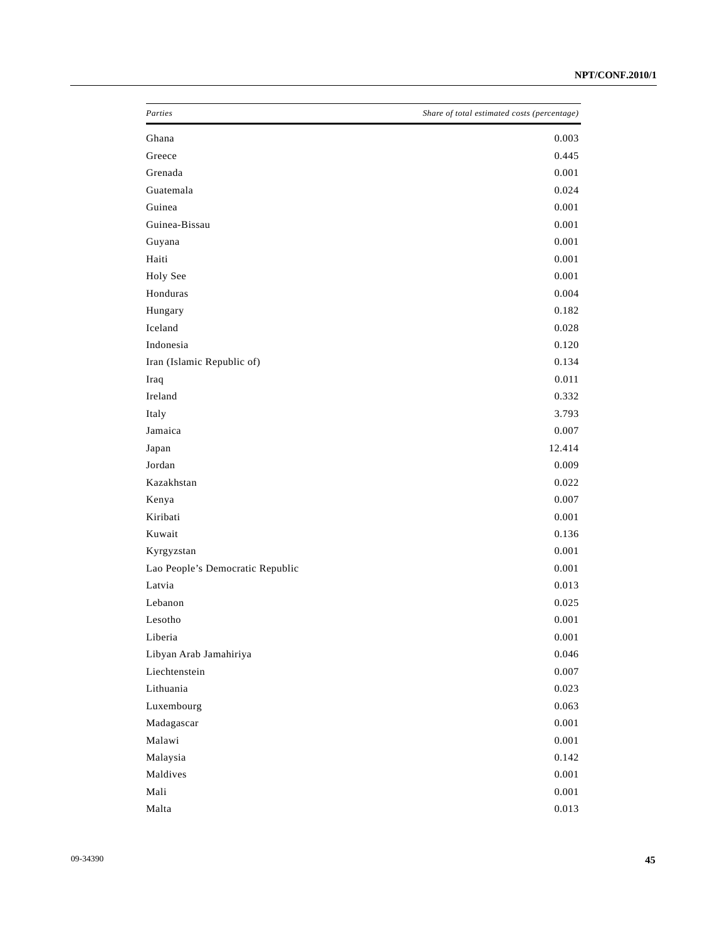| Parties                          | Share of total estimated costs (percentage) |
|----------------------------------|---------------------------------------------|
| Ghana                            | 0.003                                       |
| Greece                           | 0.445                                       |
| Grenada                          | 0.001                                       |
| Guatemala                        | 0.024                                       |
| Guinea                           | 0.001                                       |
| Guinea-Bissau                    | 0.001                                       |
| Guyana                           | 0.001                                       |
| Haiti                            | 0.001                                       |
| Holy See                         | 0.001                                       |
| Honduras                         | 0.004                                       |
| Hungary                          | 0.182                                       |
| Iceland                          | 0.028                                       |
| Indonesia                        | 0.120                                       |
| Iran (Islamic Republic of)       | 0.134                                       |
| Iraq                             | 0.011                                       |
| Ireland                          | 0.332                                       |
| Italy                            | 3.793                                       |
| Jamaica                          | 0.007                                       |
| Japan                            | 12.414                                      |
| Jordan                           | 0.009                                       |
| Kazakhstan                       | 0.022                                       |
| Kenya                            | 0.007                                       |
| Kiribati                         | 0.001                                       |
| Kuwait                           | 0.136                                       |
| Kyrgyzstan                       | 0.001                                       |
| Lao People's Democratic Republic | 0.001                                       |
| Latvia                           | 0.013                                       |
| Lebanon                          | 0.025                                       |
| Lesotho                          | 0.001                                       |
| Liberia                          | $0.001\,$                                   |
| Libyan Arab Jamahiriya           | 0.046                                       |
| Liechtenstein                    | $0.007\,$                                   |
| Lithuania                        | 0.023                                       |
| Luxembourg                       | 0.063                                       |
| Madagascar                       | $0.001\,$                                   |
| Malawi                           | $0.001\,$                                   |
| Malaysia                         | 0.142                                       |
| Maldives                         | $0.001\,$                                   |
| Mali                             | $0.001\,$                                   |
| Malta                            | 0.013                                       |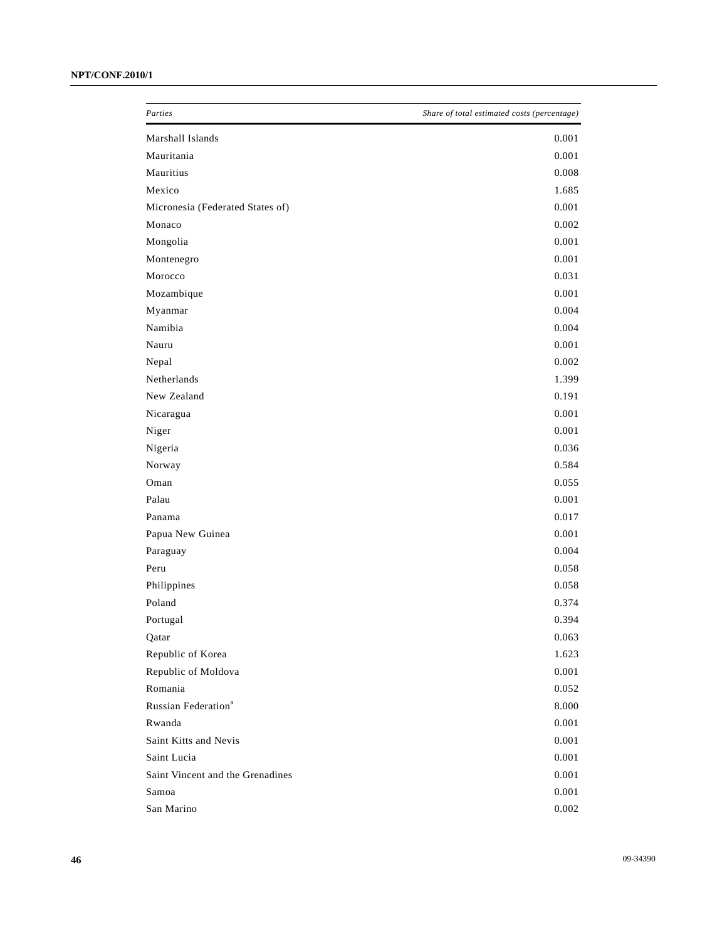| Parties                          | Share of total estimated costs (percentage) |
|----------------------------------|---------------------------------------------|
| Marshall Islands                 | 0.001                                       |
| Mauritania                       | 0.001                                       |
| Mauritius                        | 0.008                                       |
| Mexico                           | 1.685                                       |
| Micronesia (Federated States of) | 0.001                                       |
| Monaco                           | 0.002                                       |
| Mongolia                         | 0.001                                       |
| Montenegro                       | 0.001                                       |
| Morocco                          | 0.031                                       |
| Mozambique                       | 0.001                                       |
| Myanmar                          | 0.004                                       |
| Namibia                          | 0.004                                       |
| Nauru                            | 0.001                                       |
| Nepal                            | 0.002                                       |
| Netherlands                      | 1.399                                       |
| New Zealand                      | 0.191                                       |
| Nicaragua                        | 0.001                                       |
| Niger                            | 0.001                                       |
| Nigeria                          | 0.036                                       |
| Norway                           | 0.584                                       |
| Oman                             | 0.055                                       |
| Palau                            | 0.001                                       |
| Panama                           | 0.017                                       |
| Papua New Guinea                 | 0.001                                       |
| Paraguay                         | 0.004                                       |
| Peru                             | 0.058                                       |
| Philippines                      | 0.058                                       |
| Poland                           | 0.374                                       |
| Portugal                         | 0.394                                       |
| Qatar                            | 0.063                                       |
| Republic of Korea                | 1.623                                       |
| Republic of Moldova              | $0.001\,$                                   |
| Romania                          | 0.052                                       |
| Russian Federation <sup>a</sup>  | 8.000                                       |
| Rwanda                           | 0.001                                       |
| Saint Kitts and Nevis            | $0.001\,$                                   |
| Saint Lucia                      | 0.001                                       |
| Saint Vincent and the Grenadines | $0.001\,$                                   |
| Samoa                            | $0.001\,$                                   |
| San Marino                       | 0.002                                       |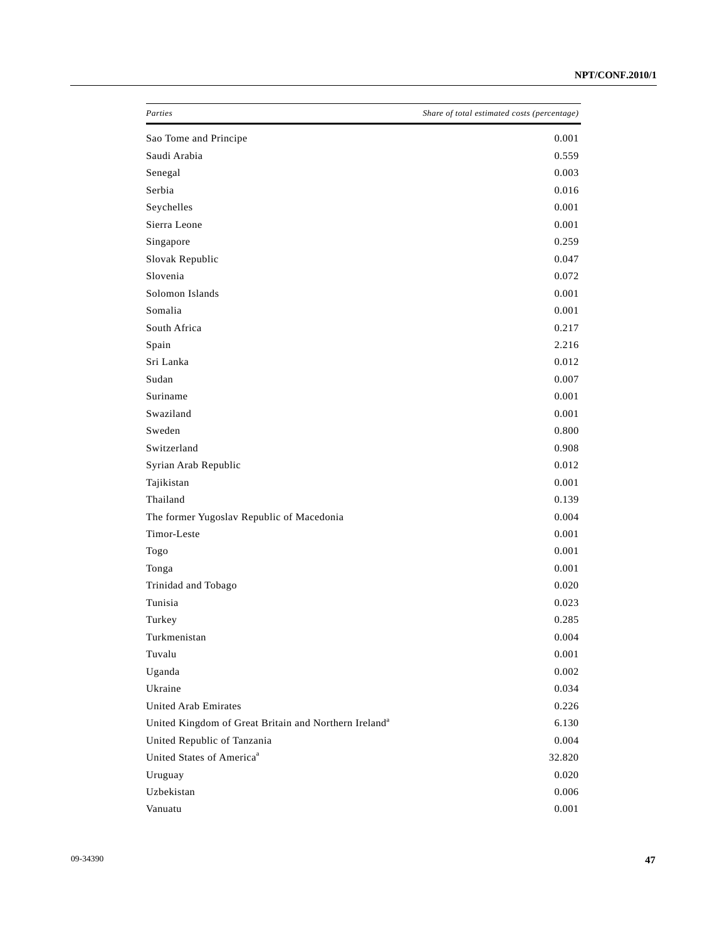| Parties                                                           | Share of total estimated costs (percentage) |
|-------------------------------------------------------------------|---------------------------------------------|
| Sao Tome and Principe                                             | 0.001                                       |
| Saudi Arabia                                                      | 0.559                                       |
| Senegal                                                           | 0.003                                       |
| Serbia                                                            | 0.016                                       |
| Seychelles                                                        | 0.001                                       |
| Sierra Leone                                                      | 0.001                                       |
| Singapore                                                         | 0.259                                       |
| Slovak Republic                                                   | 0.047                                       |
| Slovenia                                                          | 0.072                                       |
| Solomon Islands                                                   | 0.001                                       |
| Somalia                                                           | 0.001                                       |
| South Africa                                                      | 0.217                                       |
| Spain                                                             | 2.216                                       |
| Sri Lanka                                                         | 0.012                                       |
| Sudan                                                             | 0.007                                       |
| Suriname                                                          | 0.001                                       |
| Swaziland                                                         | 0.001                                       |
| Sweden                                                            | 0.800                                       |
| Switzerland                                                       | 0.908                                       |
| Syrian Arab Republic                                              | 0.012                                       |
| Tajikistan                                                        | 0.001                                       |
| Thailand                                                          | 0.139                                       |
| The former Yugoslav Republic of Macedonia                         | 0.004                                       |
| Timor-Leste                                                       | 0.001                                       |
| Togo                                                              | 0.001                                       |
| Tonga                                                             | 0.001                                       |
| Trinidad and Tobago                                               | 0.020                                       |
| Tunisia                                                           | 0.023                                       |
| Turkey                                                            | 0.285                                       |
| Turkmenistan                                                      | 0.004                                       |
| Tuvalu                                                            | 0.001                                       |
| Uganda                                                            | 0.002                                       |
| Ukraine                                                           | 0.034                                       |
| <b>United Arab Emirates</b>                                       | 0.226                                       |
| United Kingdom of Great Britain and Northern Ireland <sup>a</sup> | 6.130                                       |
| United Republic of Tanzania                                       | 0.004                                       |
| United States of America <sup>a</sup>                             | 32.820                                      |
| Uruguay                                                           | 0.020                                       |
| Uzbekistan                                                        | 0.006                                       |
| Vanuatu                                                           | 0.001                                       |